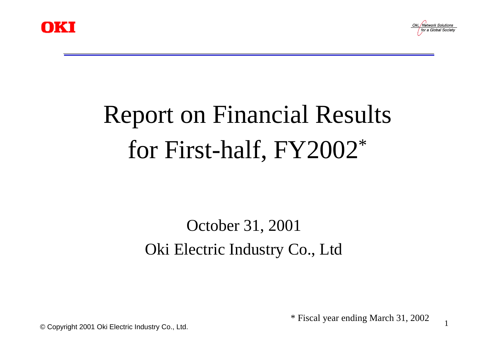



1

# Report on Financial Results for First-half, FY2002\*

# October 31, 2001 Oki Electric Industry Co., Ltd

\* Fiscal year ending March 31, 2002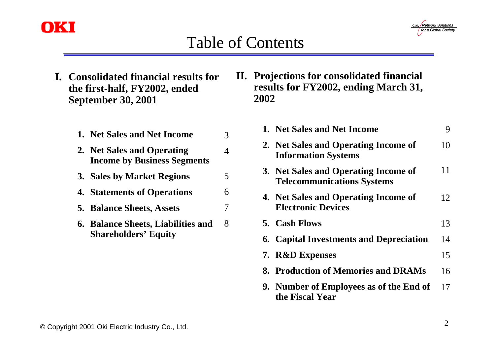

### Table of Contents

Oki, Network Solutions for a Global Society

**I. Consolidated financial results for the first-half, FY2002, ended September 30, 2001**

| 1. Net Sales and Net Income                                       |    |
|-------------------------------------------------------------------|----|
| 2. Net Sales and Operating<br><b>Income by Business Segments</b>  |    |
| 3. Sales by Market Regions                                        | 5. |
| <b>4. Statements of Operations</b>                                | 6  |
| <b>5. Balance Sheets, Assets</b>                                  |    |
| 6. Balance Sheets, Liabilities and<br><b>Shareholders' Equity</b> | 8  |

**II. Projections for consolidated financial results for FY2002, ending March 31, 2002**

| 1. Net Sales and Net Income                                               | 9  |
|---------------------------------------------------------------------------|----|
| 2. Net Sales and Operating Income of<br><b>Information Systems</b>        | 10 |
| 3. Net Sales and Operating Income of<br><b>Telecommunications Systems</b> | 11 |
| 4. Net Sales and Operating Income of<br><b>Electronic Devices</b>         | 12 |
| 5. Cash Flows                                                             | 13 |
| <b>6. Capital Investments and Depreciation</b>                            | 14 |
| 7. R&D Expenses                                                           | 15 |
| 8. Production of Memories and DRAMs                                       | 16 |
| 9. Number of Employees as of the End of<br>the Fiscal Year                | 17 |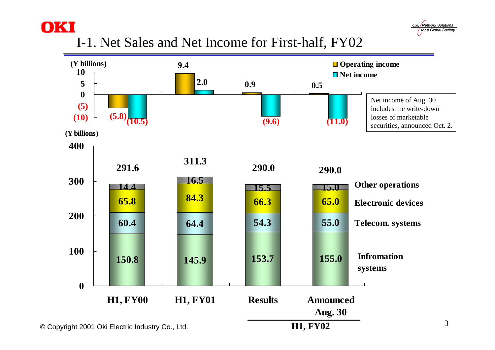



I-1. Net Sales and Net Income for First-half, FY02

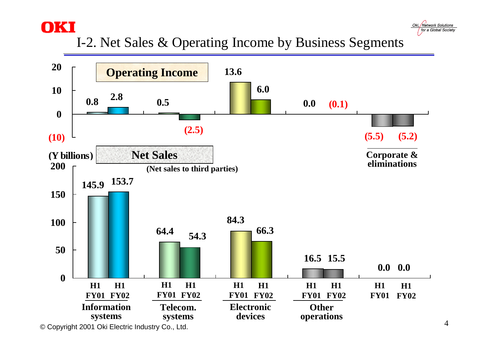



I-2. Net Sales & Operating Income by Business Segments

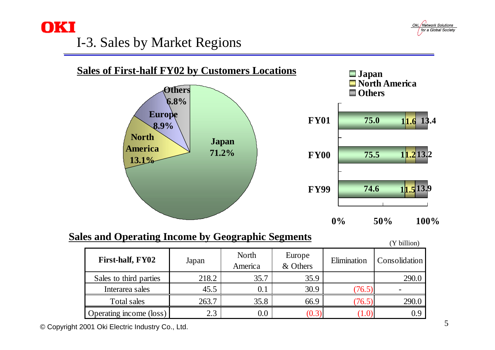

## I-3. Sales by Market Regions





#### **Sales and Operating Income by Geographic Segments**

|                                |       |                  |                    |             | $Y$ billion)  |
|--------------------------------|-------|------------------|--------------------|-------------|---------------|
| First-half, FY02               | Japan | North<br>America | Europe<br>& Others | Elimination | Consolidation |
| Sales to third parties         | 218.2 | 35.7             | 35.9               |             | 290.0         |
| Interarea sales                | 45.5  | 0.1              | 30.9               | (76.5)      |               |
| Total sales                    | 263.7 | 35.8             | 66.9               | (76.5)      | 290.0         |
| <b>Operating income (loss)</b> | 2.3   | $0.0\,$          | (0.3)              |             | 0.9           |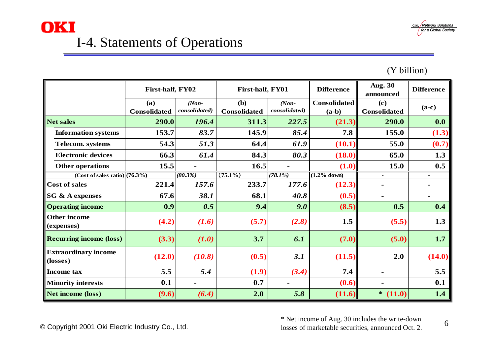

### **OKI** I-4. Statements of Operations

#### (Y billion)

|                                   |                                         | First-half, FY02           |                          | First-half, FY01           |                          | <b>Difference</b>              | <b>Aug. 30</b><br>announced | <b>Difference</b> |
|-----------------------------------|-----------------------------------------|----------------------------|--------------------------|----------------------------|--------------------------|--------------------------------|-----------------------------|-------------------|
|                                   |                                         | (a)<br><b>Consolidated</b> | $(Non-$<br>consolidated) | (b)<br><b>Consolidated</b> | $(Non-$<br>consolidated) | <b>Consolidated</b><br>$(a-b)$ | (c)<br><b>Consolidated</b>  | $(a-c)$           |
| <b>Net sales</b>                  |                                         | 290.0                      | 196.4                    | 311.3                      | 227.5                    | (21.3)                         | 290.0                       | 0.0               |
|                                   | <b>Information systems</b>              | 153.7                      | 83.7                     | 145.9                      | 85.4                     | 7.8                            | 155.0                       | (1.3)             |
|                                   | <b>Telecom.</b> systems                 | 54.3                       | 51.3                     | 64.4                       | 61.9                     | (10.1)                         | 55.0                        | (0.7)             |
|                                   | <b>Electronic devices</b>               | 66.3                       | 61.4                     | 84.3                       | 80.3                     | (18.0)                         | 65.0                        | 1.3               |
|                                   | <b>Other operations</b>                 | 15.5                       |                          | 16.5                       |                          | (1.0)                          | 15.0                        | 0.5               |
|                                   | $(Cost of sales ratio)$ $(76.3%)$       |                            | $(80.3\%)$               | $(75.1\%)$                 | (78.1%)                  | $(1.2%$ down)                  | $\blacksquare$              | $\blacksquare$    |
| <b>Cost of sales</b>              |                                         | 221.4                      | 157.6                    | 233.7                      | 177.6                    | (12.3)                         |                             |                   |
| <b>SG &amp; A expenses</b>        |                                         | 67.6                       | 38.1                     | 68.1                       | 40.8                     | (0.5)                          | -                           | $\blacksquare$    |
|                                   | <b>Operating income</b>                 | 0.9                        | 0.5                      | 9.4                        | 9.0                      | (8.5)                          | 0.5                         | 0.4               |
| <b>Other income</b><br>(expenses) |                                         | (4.2)                      | (1.6)                    | (5.7)                      | (2.8)                    | 1.5                            | (5.5)                       | 1.3               |
|                                   | <b>Recurring income (loss)</b>          | (3.3)                      | (1.0)                    | 3.7                        | 6.1                      | (7.0)                          | (5.0)                       | 1.7               |
|                                   | <b>Extraordinary income</b><br>(losses) | (12.0)                     | (10.8)                   | (0.5)                      | 3.1                      | (11.5)                         | 2.0                         | (14.0)            |
|                                   | <b>Income</b> tax                       | 5.5                        | 5.4                      | (1.9)                      | (3.4)                    | 7.4                            |                             | 5.5               |
|                                   | <b>Minority interests</b>               | 0.1                        |                          | 0.7                        |                          | (0.6)                          |                             | 0.1               |
| <b>Net income (loss)</b>          |                                         | (9.6)                      | (6.4)                    | 2.0                        | 5.8                      | (11.6)                         | $*$ (11.0)                  | 1.4               |

© Copyright 2001 Oki Electric Industry Co., Ltd.

\* Net income of Aug. 30 includes the write-down losses of marketable securities, announced Oct. 2.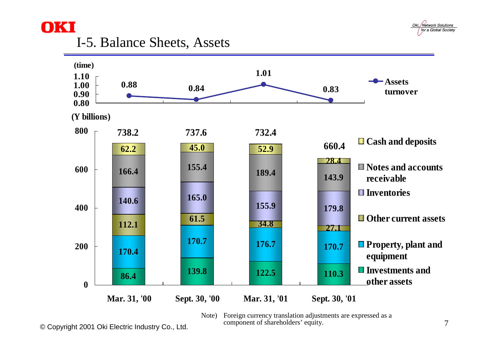

#### I-5. Balance Sheets, Assets

**OKI** 



Note) Foreign currency translation adjustments are expressed as a component of shareholders' equity.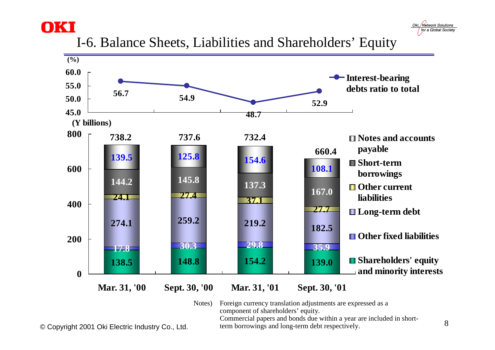



I-6. Balance Sheets, Liabilities and Shareholders' Equity



Notes) Foreign currency translation adjustments are expressed as a component of shareholders' equity. Commercial papers and bonds due within a year are included in short-

term borrowings and long-term debt respectively.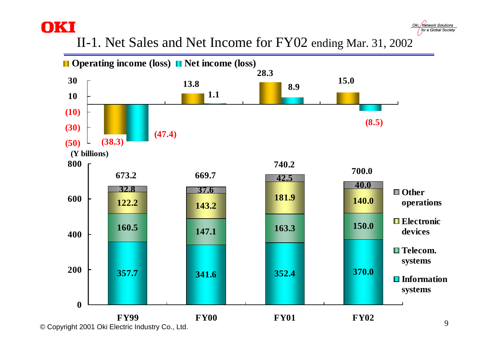II-1. Net Sales and Net Income for FY02 ending Mar. 31, 2002

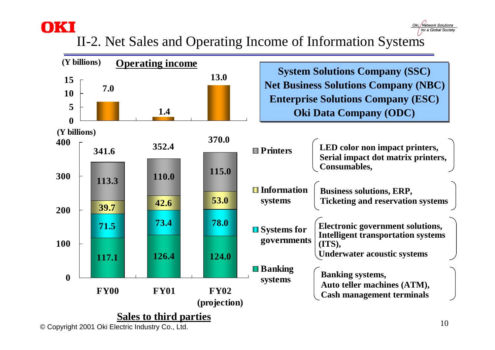# II-2. Net Sales and Operating Income of Information Systems



© Copyright 2001 Oki Electric Industry Co., Ltd.

Oki. Network Solutions for a Global Society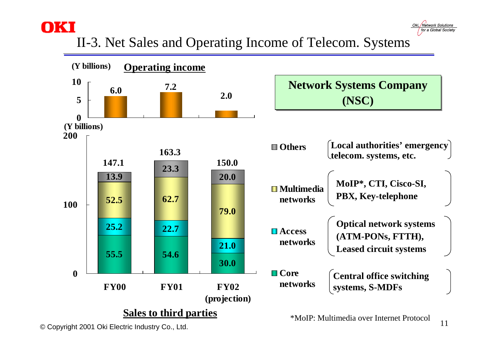### II-3. Net Sales and Operating Income of Telecom. Systems

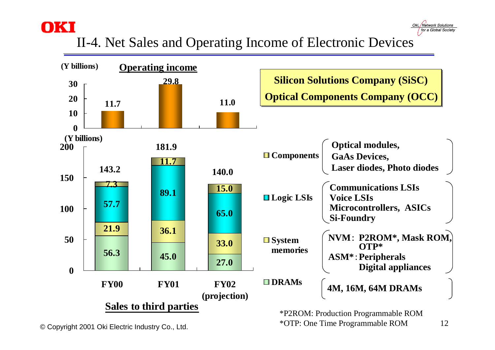

### II-4. Net Sales and Operating Income of Electronic Devices

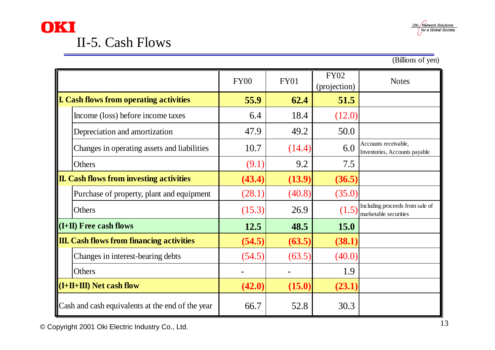



(Billions of yen)

|                                                  |                                             | <b>FY00</b> | <b>FY01</b> | <b>FY02</b><br>(projection) | <b>Notes</b>                                             |
|--------------------------------------------------|---------------------------------------------|-------------|-------------|-----------------------------|----------------------------------------------------------|
| <b>L. Cash flows from operating activities</b>   |                                             | 55.9        | 62.4        | 51.5                        |                                                          |
|                                                  | Income (loss) before income taxes           | 6.4         | 18.4        | (12.0)                      |                                                          |
|                                                  | Depreciation and amortization               | 47.9        | 49.2        | 50.0                        |                                                          |
|                                                  | Changes in operating assets and liabilities | 10.7        | (14.4)      | 6.0                         | Accounts receivable,<br>Inventories, Accounts payable    |
|                                                  | Others                                      | (9.1)       | 9.2         | 7.5                         |                                                          |
| <b>II. Cash flows from investing activities</b>  |                                             | (43.4)      | (13.9)      | (36.5)                      |                                                          |
|                                                  | Purchase of property, plant and equipment   | (28.1)      | (40.8)      | (35.0)                      |                                                          |
|                                                  | Others                                      | (15.3)      | 26.9        | (1.5)                       | Including proceeds from sale of<br>marketable securities |
| $(L+II)$ Free cash flows                         |                                             | 12.5        | 48.5        | <b>15.0</b>                 |                                                          |
| <b>III.</b> Cash flows from financing activities |                                             | (54.5)      | (63.5)      | (38.1)                      |                                                          |
|                                                  | Changes in interest-bearing debts           | (54.5)      | (63.5)      | (40.0)                      |                                                          |
|                                                  | Others                                      |             |             | 1.9                         |                                                          |
| $(L+11+III)$ Net cash flow                       |                                             | (42.0)      | (15.0)      | (23.1)                      |                                                          |
| Cash and cash equivalents at the end of the year |                                             | 66.7        | 52.8        | 30.3                        |                                                          |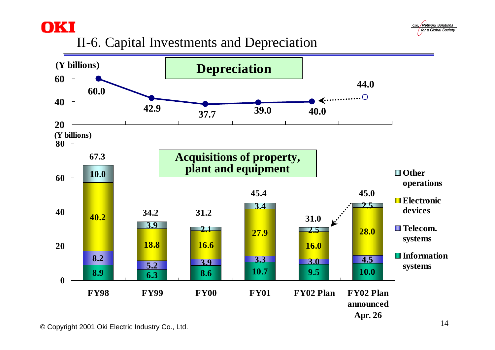



#### II-6. Capital Investments and Depreciation

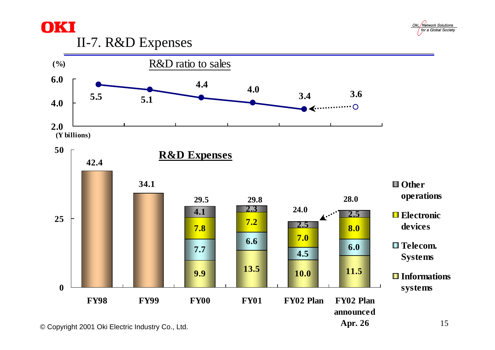



#### II-7. R&D Expenses



© Copyright 2001 Oki Electric Industry Co., Ltd.

15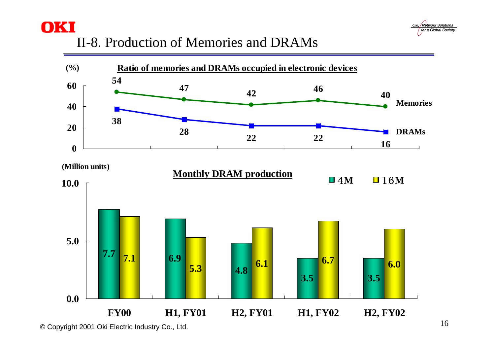

#### II-8. Production of Memories and DRAMs



© Copyright 2001 Oki Electric Industry Co., Ltd.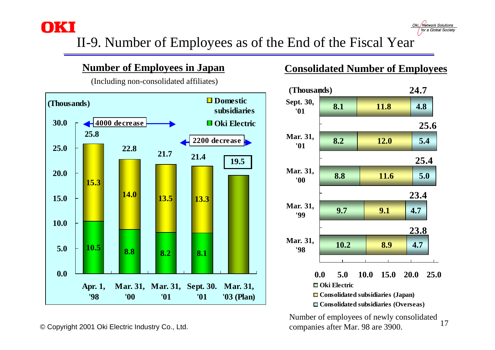II-9. Number of Employees as of the End of the Fiscal Year

#### **Number of Employees in Japan**

(Including non-consolidated affiliates)



#### **Consolidated Number of Employees**

Oki. Network Solutions for a Global Society



17Number of employees of newly consolidated companies after Mar. 98 are 3900.